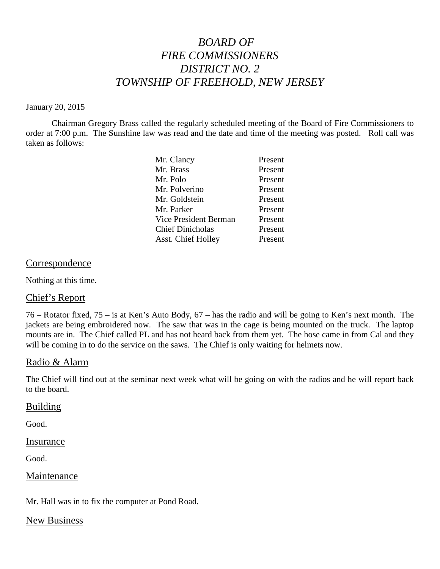# *BOARD OF FIRE COMMISSIONERS DISTRICT NO. 2 TOWNSHIP OF FREEHOLD, NEW JERSEY*

#### January 20, 2015

Chairman Gregory Brass called the regularly scheduled meeting of the Board of Fire Commissioners to order at 7:00 p.m. The Sunshine law was read and the date and time of the meeting was posted. Roll call was taken as follows:

| Mr. Clancy                | Present |
|---------------------------|---------|
| Mr. Brass                 | Present |
| Mr. Polo                  | Present |
| Mr. Polverino             | Present |
| Mr. Goldstein             | Present |
| Mr. Parker                | Present |
| Vice President Berman     | Present |
| <b>Chief Dinicholas</b>   | Present |
| <b>Asst. Chief Holley</b> | Present |

## Correspondence

Nothing at this time.

# Chief's Report

76 – Rotator fixed, 75 – is at Ken's Auto Body, 67 – has the radio and will be going to Ken's next month. The jackets are being embroidered now. The saw that was in the cage is being mounted on the truck. The laptop mounts are in. The Chief called PL and has not heard back from them yet. The hose came in from Cal and they will be coming in to do the service on the saws. The Chief is only waiting for helmets now.

## Radio & Alarm

The Chief will find out at the seminar next week what will be going on with the radios and he will report back to the board.

## Building

Good.

Insurance

Good.

## **Maintenance**

Mr. Hall was in to fix the computer at Pond Road.

## New Business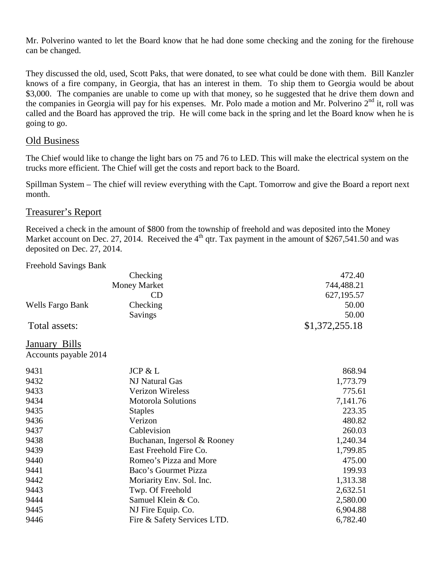Mr. Polverino wanted to let the Board know that he had done some checking and the zoning for the firehouse can be changed.

They discussed the old, used, Scott Paks, that were donated, to see what could be done with them. Bill Kanzler knows of a fire company, in Georgia, that has an interest in them. To ship them to Georgia would be about \$3,000. The companies are unable to come up with that money, so he suggested that he drive them down and the companies in Georgia will pay for his expenses. Mr. Polo made a motion and Mr. Polverino  $2<sup>nd</sup>$  it, roll was called and the Board has approved the trip. He will come back in the spring and let the Board know when he is going to go.

## Old Business

The Chief would like to change the light bars on 75 and 76 to LED. This will make the electrical system on the trucks more efficient. The Chief will get the costs and report back to the Board.

Spillman System – The chief will review everything with the Capt. Tomorrow andgive the Board a report next month.

## Treasurer's Report

Received a check in the amount of \$800 from the township of freehold and was deposited into the Money Market account on Dec. 27, 2014. Received the  $4<sup>th</sup>$  qtr. Tax payment in the amount of \$267,541.50 and was deposited on Dec. 27, 2014.

Freehold Savings Bank

|                       | Checking                    | 472.40         |
|-----------------------|-----------------------------|----------------|
|                       | <b>Money Market</b>         | 744,488.21     |
|                       | CD                          | 627,195.57     |
| Wells Fargo Bank      | Checking                    | 50.00          |
|                       | Savings                     | 50.00          |
| Total assets:         |                             | \$1,372,255.18 |
| January Bills         |                             |                |
| Accounts payable 2014 |                             |                |
| 9431                  | JCP & L                     | 868.94         |
| 9432                  | NJ Natural Gas              | 1,773.79       |
| 9433                  | <b>Verizon Wireless</b>     | 775.61         |
| 9434                  | <b>Motorola Solutions</b>   | 7,141.76       |
| 9435                  | <b>Staples</b>              | 223.35         |
| 9436                  | Verizon                     | 480.82         |
| 9437                  | Cablevision                 | 260.03         |
| 9438                  | Buchanan, Ingersol & Rooney | 1,240.34       |
| 9439                  | East Freehold Fire Co.      | 1,799.85       |
| 9440                  | Romeo's Pizza and More      | 475.00         |
| 9441                  | Baco's Gourmet Pizza        | 199.93         |
| 9442                  | Moriarity Env. Sol. Inc.    | 1,313.38       |
| 9443                  | Twp. Of Freehold            | 2,632.51       |
| 9444                  | Samuel Klein & Co.          | 2,580.00       |
| 9445                  | NJ Fire Equip. Co.          | 6,904.88       |
| 9446                  | Fire & Safety Services LTD. | 6,782.40       |